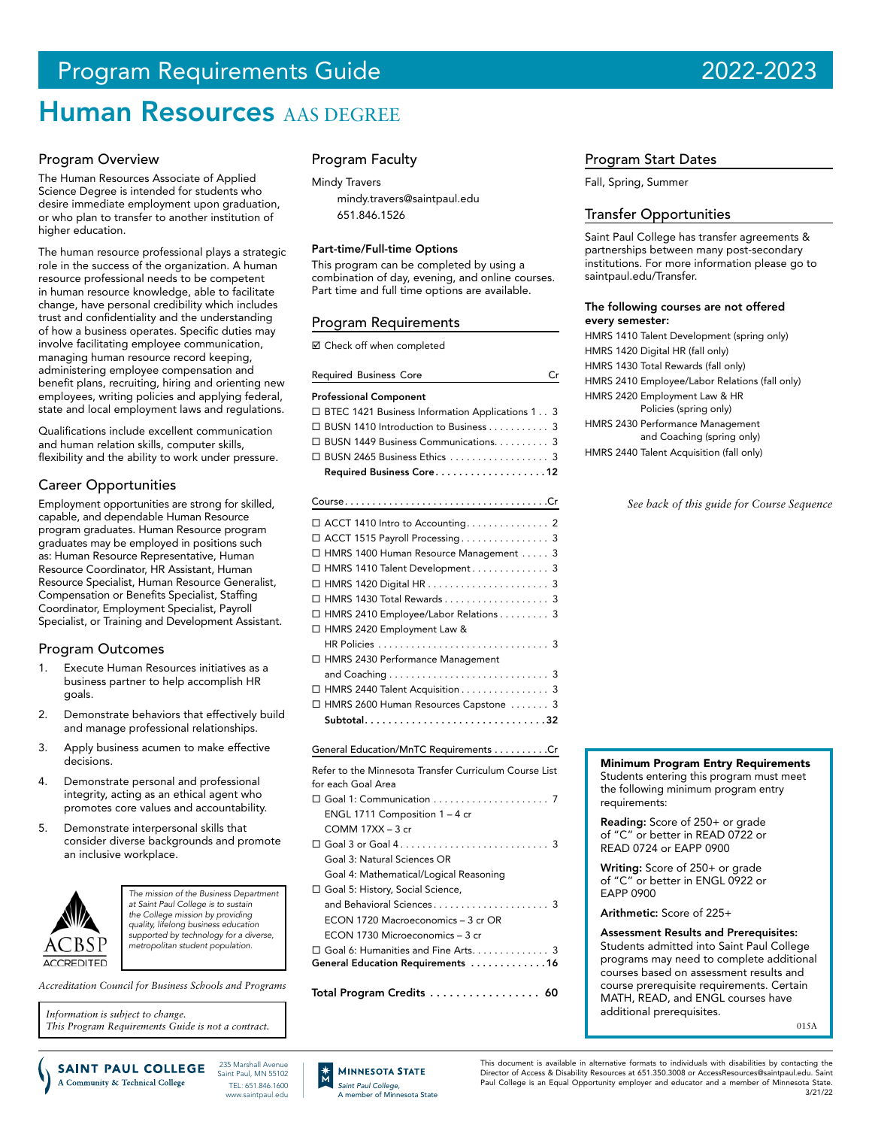# Program Requirements Guide 2022-2023

# **Human Resources AAS DEGREE**

#### Program Overview

The Human Resources Associate of Applied Science Degree is intended for students who desire immediate employment upon graduation, or who plan to transfer to another institution of higher education.

The human resource professional plays a strategic role in the success of the organization. A human resource professional needs to be competent in human resource knowledge, able to facilitate change, have personal credibility which includes trust and confidentiality and the understanding of how a business operates. Specific duties may involve facilitating employee communication, managing human resource record keeping, administering employee compensation and benefit plans, recruiting, hiring and orienting new employees, writing policies and applying federal, state and local employment laws and regulations.

Qualifications include excellent communication and human relation skills, computer skills, flexibility and the ability to work under pressure.

## Career Opportunities

Employment opportunities are strong for skilled, capable, and dependable Human Resource program graduates. Human Resource program graduates may be employed in positions such as: Human Resource Representative, Human Resource Coordinator, HR Assistant, Human Resource Specialist, Human Resource Generalist, Compensation or Benefits Specialist, Staffing Coordinator, Employment Specialist, Payroll Specialist, or Training and Development Assistant.

#### Program Outcomes

- Execute Human Resources initiatives as a business partner to help accomplish HR goals.
- 2. Demonstrate behaviors that effectively build and manage professional relationships.
- 3. Apply business acumen to make effective decisions.
- 4. Demonstrate personal and professional integrity, acting as an ethical agent who promotes core values and accountability.
- 5. Demonstrate interpersonal skills that consider diverse backgrounds and promote an inclusive workplace.



*The mission of the Business Department at Saint Paul College is to sustain the College mission by providing quality, lifelong business education supported by technology for a diverse, metropolitan student population.*

*Accreditation Council for Business Schools and Programs*

*Information is subject to change. This Program Requirements Guide is not a contract.* Program Faculty

Mindy Travers

[mindy.travers@saintpaul.edu](mailto:mindy.travers%40saintpaul.edu?subject=) 651.846.1526

#### Part-time/Full-time Options

This program can be completed by using a combination of day, evening, and online courses. Part time and full time options are available.

#### Program Requirements

Check off when completed

| <b>Required Business Core</b>                                           | Сr |
|-------------------------------------------------------------------------|----|
| Professional Component                                                  |    |
| □ BTEC 1421 Business Information Applications 13                        |    |
| □ BUSN 1410 Introduction to Business 3                                  |    |
| □ BUSN 1449 Business Communications. 3                                  |    |
| $\Box$ BUSN 2465 Business Ethics $\ldots \ldots \ldots \ldots \ldots$ 3 |    |
| Required Business Core12                                                |    |

| □ ACCT 1515 Payroll Processing 3        |  |
|-----------------------------------------|--|
| □ HMRS 1400 Human Resource Management 3 |  |
| □ HMRS 1410 Talent Development 3        |  |
|                                         |  |
| □ HMRS 1430 Total Rewards 3             |  |
| □ HMRS 2410 Employee/Labor Relations 3  |  |
| □ HMRS 2420 Employment Law &            |  |
|                                         |  |
| □ HMRS 2430 Performance Management      |  |
|                                         |  |
| □ HMRS 2440 Talent Acquisition 3        |  |
| □ HMRS 2600 Human Resources Capstone  3 |  |
|                                         |  |

#### General Education/MnTC Requirements . . . . . . . . . Cr

| Refer to the Minnesota Transfer Curriculum Course List |
|--------------------------------------------------------|
| for each Goal Area                                     |
|                                                        |
| ENGL 1711 Composition $1 - 4$ cr                       |
| $COMM$ 17XX $-$ 3 cr                                   |
|                                                        |
| Goal 3: Natural Sciences OR                            |
| Goal 4: Mathematical/Logical Reasoning                 |
| □ Goal 5: History, Social Science,                     |
|                                                        |
| ECON 1720 Macroeconomics – 3 cr OR                     |
| ECON 1730 Microeconomics - 3 cr                        |
| $\Box$ Goal 6: Humanities and Fine Arts. 3             |
| General Education Requirements 16                      |
|                                                        |
| Total Program Credits<br>60                            |

#### Program Start Dates

Fall, Spring, Summer

#### Transfer Opportunities

Saint Paul College has transfer agreements & partnerships between many post-secondary institutions. For more information please go to saintpaul.edu/Transfer.

#### The following courses are not offered every semester:

- HMRS 1410 Talent Development (spring only) HMRS 1420 Digital HR (fall only)
- HMRS 1430 Total Rewards (fall only)
- HMRS 2410 Employee/Labor Relations (fall only)
- HMRS 2420 Employment Law & HR Policies (spring only)
- HMRS 2430 Performance Management and Coaching (spring only)
- HMRS 2440 Talent Acquisition (fall only)

*See back of this guide for Course Sequence*



Reading: Score of 250+ or grade of "C" or better in READ 0722 or READ 0724 or EAPP 0900

Writing: Score of 250+ or grade of "C" or better in ENGL 0922 or EAPP 0900

Arithmetic: Score of 225+

Assessment Results and Prerequisites: Students admitted into Saint Paul College programs may need to complete additional courses based on assessment results and course prerequisite requirements. Certain MATH, READ, and ENGL courses have additional prerequisites.

015A

235 Marshall Avenue **SAINT PAUL COLLEGE** Saint Paul, MN 55102 A Community & Technical College TEL: 651.846.1600 www.saintpaul.edu



This document is available in alternative formats to individuals with disabilities by contacting the Director of Access & Disability Resources at 651.350.3008 or AccessResources@saintpaul.edu. Saint Paul College is an Equal Opportunity employer and educator and a member of Minnesota State. 3/21/22